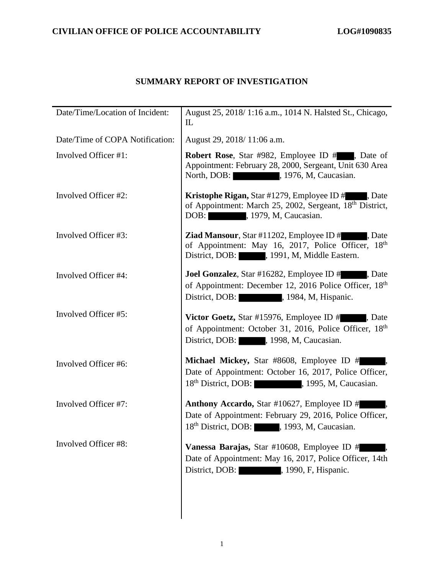# **SUMMARY REPORT OF INVESTIGATION**

| Date/Time/Location of Incident: | August 25, 2018/1:16 a.m., 1014 N. Halsted St., Chicago,<br>IL                                                                                                         |
|---------------------------------|------------------------------------------------------------------------------------------------------------------------------------------------------------------------|
| Date/Time of COPA Notification: | August 29, 2018/11:06 a.m.                                                                                                                                             |
| Involved Officer #1:            | <b>Robert Rose</b> , Star #982, Employee ID #, Date of<br>Appointment: February 28, 2000, Sergeant, Unit 630 Area<br>North, DOB: 1976, M, Caucasian.                   |
| Involved Officer #2:            | <b>Kristophe Rigan, Star #1279, Employee ID #</b> , Date<br>of Appointment: March 25, 2002, Sergeant, 18 <sup>th</sup> District,<br>DOB: , 1979, M, Caucasian.         |
| Involved Officer #3:            | <b>Ziad Mansour, Star #11202, Employee ID #</b><br>. Date<br>of Appointment: May 16, 2017, Police Officer, 18th<br>District, DOB: , 1991, M, Middle Eastern.           |
| Involved Officer #4:            | <b>Joel Gonzalez, Star #16282, Employee ID #</b><br>, Date<br>of Appointment: December 12, 2016 Police Officer, 18 <sup>th</sup><br>District, DOB: 1984, M, Hispanic.  |
| Involved Officer #5:            | <b>Victor Goetz, Star #15976, Employee ID #</b> , Date<br>of Appointment: October 31, 2016, Police Officer, 18th<br>District, DOB: , 1998, M, Caucasian.               |
| Involved Officer #6:            | Michael Mickey, Star #8608, Employee ID #<br>Date of Appointment: October 16, 2017, Police Officer,<br>18 <sup>th</sup> District, DOB: (1995, M, Caucasian.)           |
| Involved Officer #7:            | <b>Anthony Accardo, Star #10627, Employee ID #</b><br>Date of Appointment: February 29, 2016, Police Officer,<br>18 <sup>th</sup> District, DOB: , 1993, M, Caucasian. |
| Involved Officer #8:            | Vanessa Barajas, Star #10608, Employee ID #<br>Date of Appointment: May 16, 2017, Police Officer, 14th<br>District, DOB: , 1990, F, Hispanic.                          |
|                                 |                                                                                                                                                                        |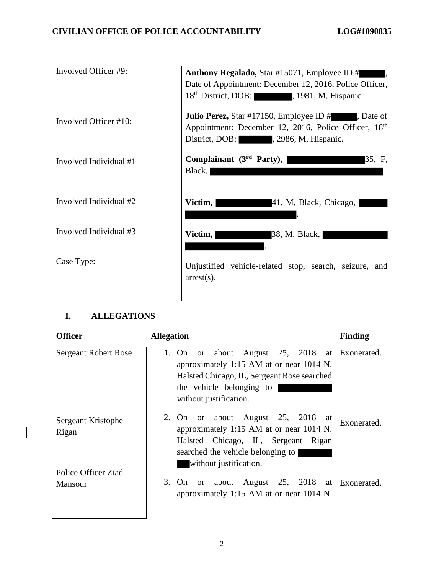| Involved Officer #9:   | Anthony Regalado, Star #15071, Employee ID #<br>Date of Appointment: December 12, 2016, Police Officer,<br>18 <sup>th</sup> District, DOB: 1981, M, Hispanic. |
|------------------------|---------------------------------------------------------------------------------------------------------------------------------------------------------------|
| Involved Officer #10:  | <b>Julio Perez, Star #17150, Employee ID #</b><br>Date of<br>Appointment: December 12, 2016, Police Officer, 18th<br>District, DOB: , 2986, M, Hispanic.      |
| Involved Individual #1 | Complainant $(3rd Party)$ ,<br>35, F,<br>Black,                                                                                                               |
| Involved Individual #2 | Victim,<br>41, M, Black, Chicago,                                                                                                                             |
| Involved Individual #3 | Victim,<br>38, M, Black,                                                                                                                                      |
| Case Type:             | Unjustified vehicle-related stop, search, seizure, and<br>$arrest(s)$ .                                                                                       |

## **I. ALLEGATIONS**

| <b>Officer</b>                                     | <b>Allegation</b>                                                                                                                                                                               | <b>Finding</b> |
|----------------------------------------------------|-------------------------------------------------------------------------------------------------------------------------------------------------------------------------------------------------|----------------|
| <b>Sergeant Robert Rose</b>                        | or about August 25, 2018 at<br>1. On<br>approximately 1:15 AM at or near 1014 N.<br>Halsted Chicago, IL, Sergeant Rose searched<br>the vehicle belonging to<br>without justification.           | Exonerated.    |
| Sergeant Kristophe<br>Rigan<br>Police Officer Ziad | August 25, 2018<br>2. On<br>or about<br>at<br>approximately 1:15 AM at or near 1014 N.<br>Halsted Chicago, IL, Sergeant<br>Rigan<br>searched the vehicle belonging to<br>without justification. | Exonerated.    |
| <b>Mansour</b>                                     | 3. On<br>August 25, 2018<br>or about<br>at<br>approximately 1:15 AM at or near 1014 N.                                                                                                          | Exonerated.    |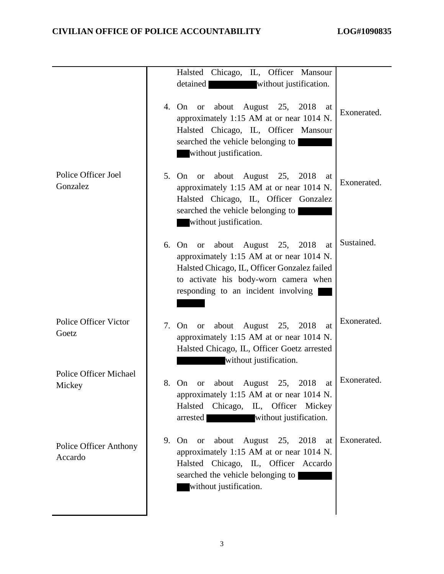|                                          | Halsted Chicago, IL, Officer Mansour                                                                                                                                                                                             |             |
|------------------------------------------|----------------------------------------------------------------------------------------------------------------------------------------------------------------------------------------------------------------------------------|-------------|
|                                          | detained<br>without justification.                                                                                                                                                                                               |             |
|                                          | about<br>August 25, 2018<br>4. On or<br>at<br>approximately 1:15 AM at or near 1014 N.<br>Halsted Chicago, IL, Officer Mansour<br>searched the vehicle belonging to<br>without justification.                                    | Exonerated. |
| Police Officer Joel<br>Gonzalez          | about<br>August 25, 2018<br>5.<br>On<br><b>or</b><br>at<br>approximately 1:15 AM at or near 1014 N.<br>Halsted Chicago, IL, Officer Gonzalez<br>searched the vehicle belonging to<br>without justification.                      | Exonerated. |
|                                          | 6. On<br>about<br>August 25, 2018<br><b>or</b><br>at<br>approximately 1:15 AM at or near 1014 N.<br>Halsted Chicago, IL, Officer Gonzalez failed<br>to activate his body-worn camera when<br>responding to an incident involving | Sustained.  |
| <b>Police Officer Victor</b><br>Goetz    | August 25, 2018<br>7.<br>about<br>On<br><b>or</b><br>at<br>approximately 1:15 AM at or near 1014 N.<br>Halsted Chicago, IL, Officer Goetz arrested<br>without justification.                                                     | Exonerated. |
| <b>Police Officer Michael</b><br>Mickey  | about<br>August<br>25,<br>2018<br>8.<br>On<br>at<br><b>or</b><br>approximately 1:15 AM at or near 1014 N.<br>Halsted Chicago, IL, Officer<br>Mickey<br>without justification.<br>arrested                                        | Exonerated. |
| <b>Police Officer Anthony</b><br>Accardo | August 25, 2018<br>9. On<br>about<br><sub>or</sub><br>at<br>approximately 1:15 AM at or near 1014 N.<br>Halsted Chicago, IL, Officer Accardo<br>searched the vehicle belonging to<br>without justification.                      | Exonerated. |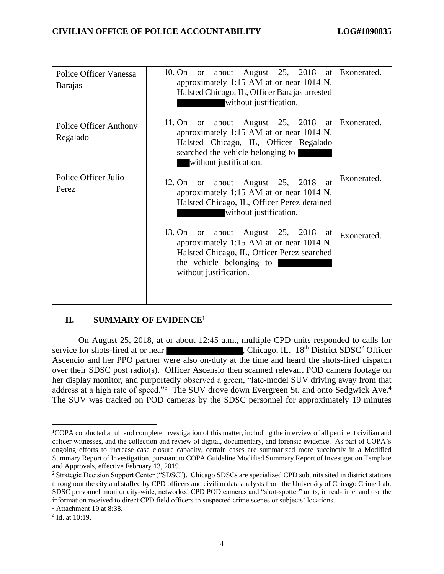| Police Officer Vanessa<br><b>Barajas</b> | 10. On or about August 25, 2018 at<br>approximately 1:15 AM at or near 1014 N.<br>Halsted Chicago, IL, Officer Barajas arrested<br>without justification.                              | Exonerated. |
|------------------------------------------|----------------------------------------------------------------------------------------------------------------------------------------------------------------------------------------|-------------|
| Police Officer Anthony<br>Regalado       | 11. On or about August 25, 2018 at<br>approximately 1:15 AM at or near 1014 N.<br>Halsted Chicago, IL, Officer Regalado<br>searched the vehicle belonging to<br>without justification. | Exonerated. |
| Police Officer Julio<br>Perez            | or about August 25, 2018<br>12. On<br>at<br>approximately 1:15 AM at or near 1014 N.<br>Halsted Chicago, IL, Officer Perez detained<br>without justification.                          | Exonerated. |
|                                          | 13. On or about August 25, 2018<br>at<br>approximately 1:15 AM at or near 1014 N.<br>Halsted Chicago, IL, Officer Perez searched<br>the vehicle belonging to<br>without justification. | Exonerated. |

## **II. SUMMARY OF EVIDENCE<sup>1</sup>**

On August 25, 2018, at or about 12:45 a.m., multiple CPD units responded to calls for service for shots-fired at or near , Chicago, IL. 18<sup>th</sup> District SDSC<sup>2</sup> Officer Ascencio and her PPO partner were also on-duty at the time and heard the shots-fired dispatch over their SDSC post radio(s). Officer Ascensio then scanned relevant POD camera footage on her display monitor, and purportedly observed a green, "late-model SUV driving away from that address at a high rate of speed."<sup>3</sup> The SUV drove down Evergreen St. and onto Sedgwick Ave.<sup>4</sup> The SUV was tracked on POD cameras by the SDSC personnel for approximately 19 minutes

<sup>1</sup>COPA conducted a full and complete investigation of this matter, including the interview of all pertinent civilian and officer witnesses, and the collection and review of digital, documentary, and forensic evidence. As part of COPA's ongoing efforts to increase case closure capacity, certain cases are summarized more succinctly in a Modified Summary Report of Investigation, pursuant to COPA Guideline Modified Summary Report of Investigation Template and Approvals, effective February 13, 2019.

<sup>&</sup>lt;sup>2</sup> Strategic Decision Support Center ("SDSC"). Chicago SDSCs are specialized CPD subunits sited in district stations throughout the city and staffed by CPD officers and civilian data analysts from the University of Chicago Crime Lab. SDSC personnel monitor city-wide, networked CPD POD cameras and "shot-spotter" units, in real-time, and use the information received to direct CPD field officers to suspected crime scenes or subjects' locations.

<sup>&</sup>lt;sup>3</sup> Attachment 19 at 8:38.

<sup>&</sup>lt;sup>4</sup> Id. at 10:19.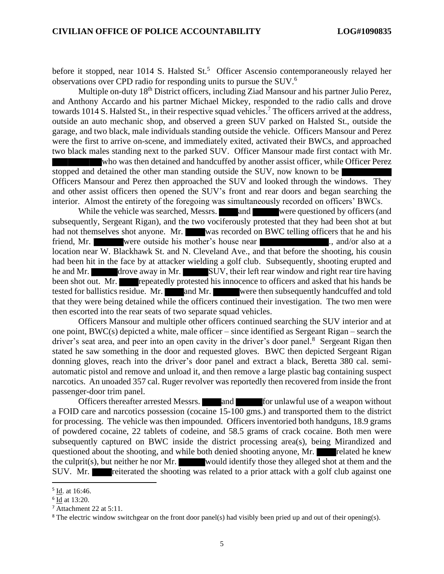before it stopped, near 1014 S. Halsted  $St.5$  Officer Ascensio contemporaneously relayed her observations over CPD radio for responding units to pursue the SUV.<sup>6</sup>

Multiple on-duty 18<sup>th</sup> District officers, including Ziad Mansour and his partner Julio Perez, and Anthony Accardo and his partner Michael Mickey, responded to the radio calls and drove towards 1014 S. Halsted St., in their respective squad vehicles. <sup>7</sup> The officers arrived at the address, outside an auto mechanic shop, and observed a green SUV parked on Halsted St., outside the garage, and two black, male individuals standing outside the vehicle. Officers Mansour and Perez were the first to arrive on-scene, and immediately exited, activated their BWCs, and approached two black males standing next to the parked SUV. Officer Mansour made first contact with Mr. who was then detained and handcuffed by another assist officer, while Officer Perez

stopped and detained the other man standing outside the SUV, now known to be Officers Mansour and Perez then approached the SUV and looked through the windows. They and other assist officers then opened the SUV's front and rear doors and began searching the interior. Almost the entirety of the foregoing was simultaneously recorded on officers' BWCs.

While the vehicle was searched, Messrs. and were questioned by officers (and subsequently, Sergeant Rigan), and the two vociferously protested that they had been shot at but had not themselves shot anyone. Mr. was recorded on BWC telling officers that he and his friend, Mr. were outside his mother's house near **...** and/or also at a location near W. Blackhawk St. and N. Cleveland Ave., and that before the shooting, his cousin had been hit in the face by at attacker wielding a golf club. Subsequently, shooting erupted and he and Mr. drove away in Mr. SUV, their left rear window and right rear tire having been shot out. Mr. repeatedly protested his innocence to officers and asked that his hands be tested for ballistics residue. Mr. and Mr. were then subsequently handcuffed and told that they were being detained while the officers continued their investigation. The two men were then escorted into the rear seats of two separate squad vehicles.

Officers Mansour and multiple other officers continued searching the SUV interior and at one point, BWC(s) depicted a white, male officer – since identified as Sergeant Rigan – search the driver's seat area, and peer into an open cavity in the driver's door panel.<sup>8</sup> Sergeant Rigan then stated he saw something in the door and requested gloves. BWC then depicted Sergeant Rigan donning gloves, reach into the driver's door panel and extract a black, Beretta 380 cal. semiautomatic pistol and remove and unload it, and then remove a large plastic bag containing suspect narcotics. An unoaded 357 cal. Ruger revolver was reportedly then recovered from inside the front passenger-door trim panel.

Officers thereafter arrested Messrs. and for unlawful use of a weapon without a FOID care and narcotics possession (cocaine 15-100 gms.) and transported them to the district for processing. The vehicle was then impounded. Officers inventoried both handguns, 18.9 grams of powdered cocaine, 22 tablets of codeine, and 58.5 grams of crack cocaine. Both men were subsequently captured on BWC inside the district processing area(s), being Mirandized and questioned about the shooting, and while both denied shooting anyone, Mr. related he knew the culprit(s), but neither he nor Mr. would identify those they alleged shot at them and the SUV. Mr. reiterated the shooting was related to a prior attack with a golf club against one

<sup>&</sup>lt;sup>5</sup> Id. at 16:46.

<sup>&</sup>lt;sup>6</sup> Id at 13:20.

<sup>7</sup> Attachment 22 at 5:11.

<sup>&</sup>lt;sup>8</sup> The electric window switchgear on the front door panel(s) had visibly been pried up and out of their opening(s).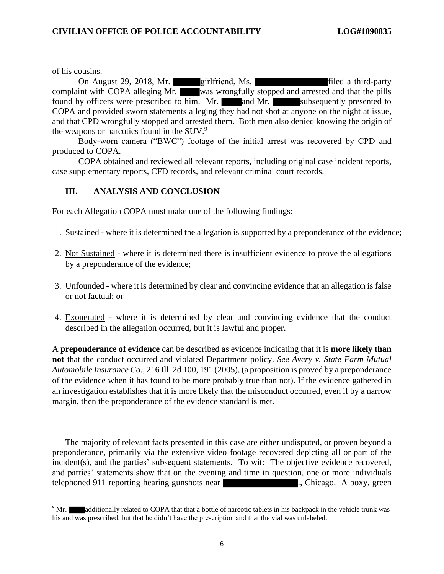of his cousins.

On August 29, 2018, Mr. **girlfriend**, Ms. **Filed a third-party** complaint with COPA alleging Mr. was wrongfully stopped and arrested and that the pills found by officers were prescribed to him. Mr. and Mr. subsequently presented to COPA and provided sworn statements alleging they had not shot at anyone on the night at issue, and that CPD wrongfully stopped and arrested them. Both men also denied knowing the origin of the weapons or narcotics found in the SUV.<sup>9</sup>

Body-worn camera ("BWC") footage of the initial arrest was recovered by CPD and produced to COPA.

COPA obtained and reviewed all relevant reports, including original case incident reports, case supplementary reports, CFD records, and relevant criminal court records.

### **III. ANALYSIS AND CONCLUSION**

For each Allegation COPA must make one of the following findings:

- 1. Sustained where it is determined the allegation is supported by a preponderance of the evidence;
- 2. Not Sustained where it is determined there is insufficient evidence to prove the allegations by a preponderance of the evidence;
- 3. Unfounded where it is determined by clear and convincing evidence that an allegation is false or not factual; or
- 4. Exonerated where it is determined by clear and convincing evidence that the conduct described in the allegation occurred, but it is lawful and proper.

A **preponderance of evidence** can be described as evidence indicating that it is **more likely than not** that the conduct occurred and violated Department policy. *See Avery v. State Farm Mutual Automobile Insurance Co.*, 216 Ill. 2d 100, 191 (2005), (a proposition is proved by a preponderance of the evidence when it has found to be more probably true than not). If the evidence gathered in an investigation establishes that it is more likely that the misconduct occurred, even if by a narrow margin, then the preponderance of the evidence standard is met.

The majority of relevant facts presented in this case are either undisputed, or proven beyond a preponderance, primarily via the extensive video footage recovered depicting all or part of the incident(s), and the parties' subsequent statements. To wit: The objective evidence recovered, and parties' statements show that on the evening and time in question, one or more individuals telephoned 911 reporting hearing gunshots near ..., Chicago. A boxy, green

<sup>&</sup>lt;sup>9</sup> Mr. additionally related to COPA that that a bottle of narcotic tablets in his backpack in the vehicle trunk was his and was prescribed, but that he didn't have the prescription and that the vial was unlabeled.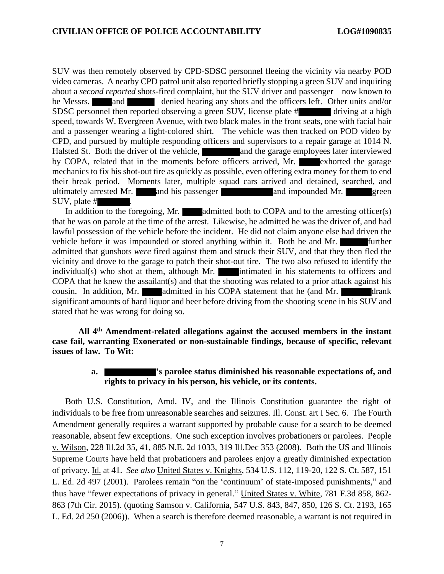SUV was then remotely observed by CPD-SDSC personnel fleeing the vicinity via nearby POD video cameras. A nearby CPD patrol unit also reported briefly stopping a green SUV and inquiring about a *second reported* shots-fired complaint, but the SUV driver and passenger – now known to be Messrs. and – denied hearing any shots and the officers left. Other units and/or SDSC personnel then reported observing a green SUV, license plate # driving at a high speed, towards W. Evergreen Avenue, with two black males in the front seats, one with facial hair and a passenger wearing a light-colored shirt. The vehicle was then tracked on POD video by CPD, and pursued by multiple responding officers and supervisors to a repair garage at 1014 N. Halsted St. Both the driver of the vehicle, and the garage employees later interviewed by COPA, related that in the moments before officers arrived, Mr. exhorted the garage mechanics to fix his shot-out tire as quickly as possible, even offering extra money for them to end their break period. Moments later, multiple squad cars arrived and detained, searched, and ultimately arrested Mr. and his passenger and impounded Mr. green SUV, plate # .

In addition to the foregoing, Mr. **admitted both to COPA** and to the arresting officer(s) that he was on parole at the time of the arrest. Likewise, he admitted he was the driver of, and had lawful possession of the vehicle before the incident. He did not claim anyone else had driven the vehicle before it was impounded or stored anything within it. Both he and Mr. admitted that gunshots *were* fired against them and struck their SUV, and that they then fled the vicinity and drove to the garage to patch their shot-out tire. The two also refused to identify the individual(s) who shot at them, although Mr. **intimated in his statements to officers and** COPA that he knew the assailant(s) and that the shooting was related to a prior attack against his cousin. In addition, Mr. admitted in his COPA statement that he (and Mr. drank significant amounts of hard liquor and beer before driving from the shooting scene in his SUV and stated that he was wrong for doing so.

**All 4th Amendment-related allegations against the accused members in the instant case fail, warranting Exonerated or non-sustainable findings, because of specific, relevant issues of law. To Wit:**

### **a. 's parolee status diminished his reasonable expectations of, and rights to privacy in his person, his vehicle, or its contents.**

Both U.S. Constitution, Amd. IV, and the Illinois Constitution guarantee the right of individuals to be free from unreasonable searches and seizures. Ill. Const. art I Sec. 6. The Fourth Amendment generally requires a warrant supported by probable cause for a search to be deemed reasonable, absent few exceptions. One such exception involves probationers or parolees. People v. Wilson, 228 Ill.2d 35, 41, 885 N.E. 2d 1033, 319 Ill.Dec 353 (2008). Both the US and Illinois Supreme Courts have held that probationers and parolees enjoy a greatly diminished expectation of privacy. Id. at 41. *See also* [United States v. Knights, 534 U.S. 112, 119-20, 122 S. Ct. 587, 151](https://advance.lexis.com/api/document?collection=cases&id=urn:contentItem:44MR-20N0-004C-003B-00000-00&context=)  L. Ed. 2d [497 \(2001\).](https://advance.lexis.com/api/document?collection=cases&id=urn:contentItem:44MR-20N0-004C-003B-00000-00&context=) Parolees remain "on the 'continuum' of state-imposed punishments," and thus have "fewer expectations of privacy in general." [United States v. White, 781 F.3d 858, 862-](https://advance.lexis.com/api/document?collection=cases&id=urn:contentItem:5FKN-DY61-F04K-R09N-00000-00&context=) [863 \(7th Cir. 2015\).](https://advance.lexis.com/api/document?collection=cases&id=urn:contentItem:5FKN-DY61-F04K-R09N-00000-00&context=) (quoting [Samson v. California, 547 U.S. 843, 847, 850, 126 S. Ct. 2193, 165](https://advance.lexis.com/api/document?collection=cases&id=urn:contentItem:4K71-3710-004C-0022-00000-00&context=)  [L. Ed. 2d 250 \(2006\)\)](https://advance.lexis.com/api/document?collection=cases&id=urn:contentItem:4K71-3710-004C-0022-00000-00&context=). When a search is therefore deemed reasonable, a warrant is not required in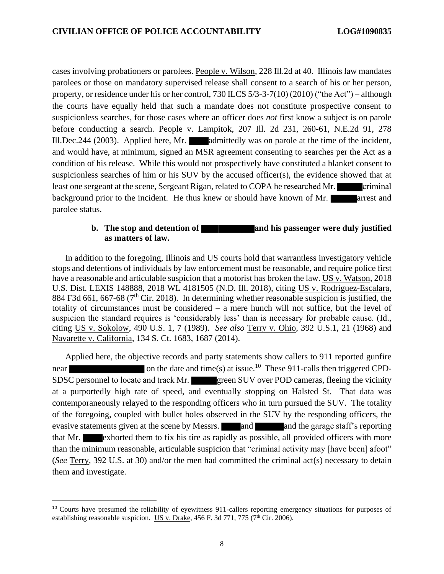cases involving probationers or parolees. People v. Wilson, 228 Ill.2d at 40. Illinois law mandates parolees or those on mandatory supervised release shall consent to a search of his or her person, property, or residence under his or her control, 730 ILCS 5/3-3-7(10) (2010) ("the Act") – although the courts have equally held that such a mandate does not constitute prospective consent to suspicionless searches, for those cases where an officer does *not* first know a subject is on parole before conducting a search. People v. Lampitok, 207 Ill. 2d 231, 260-61, N.E.2d 91, 278 Ill.Dec.244 (2003). Applied here, Mr. **admittedly** was on parole at the time of the incident, and would have, at minimum, signed an MSR agreement consenting to searches per the Act as a condition of his release. While this would not prospectively have constituted a blanket consent to suspicionless searches of him or his SUV by the accused officer(s), the evidence showed that at least one sergeant at the scene, Sergeant Rigan, related to COPA he researched Mr. criminal background prior to the incident. He thus knew or should have known of Mr. **arrest and** parolee status.

#### **b.** The stop and detention of **and his passenger were** duly justified **as matters of law.**

In addition to the foregoing, Illinois and US courts hold that warrantless investigatory vehicle stops and detentions of individuals by law enforcement must be reasonable, and require police first have a reasonable and articulable suspicion that a motorist has broken the law. US v. Watson, 2018 U.S. Dist. LEXIS 148888, 2018 WL 4181505 (N.D. Ill. 2018), citing US v. Rodriguez-Escalara, 884 F3d 661, 667-68 ( $7<sup>th</sup>$  Cir. 2018). In determining whether reasonable suspicion is justified, the totality of circumstances must be considered – a mere hunch will not suffice, but the level of suspicion the standard requires is 'considerably less' than is necessary for probable cause. (Id., citing US v. Sokolow, 490 U.S. 1, 7 (1989). *See also* Terry v. Ohio, 392 U.S.1, 21 (1968) and Navarette v. California, 134 S. Ct. 1683, 1687 (2014).

Applied here, the objective records and party statements show callers to 911 reported gunfire near on the date and time(s) at issue.<sup>10</sup> These 911-calls then triggered CPD-SDSC personnel to locate and track Mr. green SUV over POD cameras, fleeing the vicinity at a purportedly high rate of speed, and eventually stopping on Halsted St. That data was contemporaneously relayed to the responding officers who in turn pursued the SUV. The totality of the foregoing, coupled with bullet holes observed in the SUV by the responding officers, the evasive statements given at the scene by Messrs. and and the garage staff's reporting that Mr. exhorted them to fix his tire as rapidly as possible, all provided officers with more than the minimum reasonable, articulable suspicion that "criminal activity may [have been] afoot" (*See* Terry, 392 U.S. at 30) and/or the men had committed the criminal act(s) necessary to detain them and investigate.

<sup>&</sup>lt;sup>10</sup> Courts have presumed the reliability of eyewitness 911-callers reporting emergency situations for purposes of establishing reasonable suspicion. US v. Drake, 456 F. 3d 771, 775 ( $7^{\text{th}}$  Cir. 2006).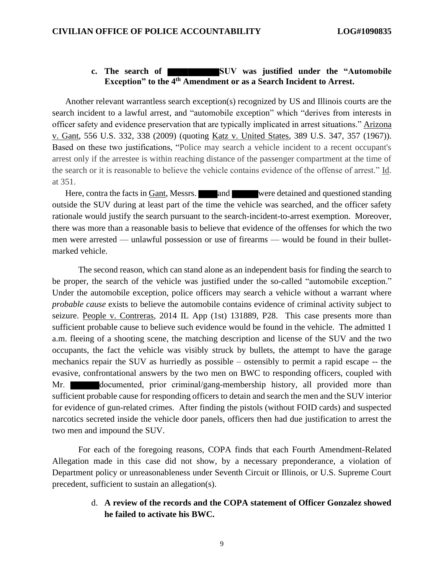### **c. The search of SUV was justified under the "Automobile Exception" to the 4th Amendment or as a Search Incident to Arrest.**

Another relevant warrantless search exception(s) recognized by US and Illinois courts are the search incident to a lawful arrest, and "automobile exception" which "derives from interests in officer safety and evidence preservation that are typically implicated in arrest situations." Arizona v. Gant, 556 U.S. 332, 338 (2009) (quoting Katz v. United States, 389 U.S. 347, 357 (1967)). Based on these two justifications, "Police may search a vehicle incident to a recent occupant's arrest only if the arrestee is within reaching distance of the passenger compartment at the time of the search or it is reasonable to believe the vehicle contains evidence of the offense of arrest." Id. at 351.

Here, contra the facts in Gant, Messrs. and were detained and questioned standing outside the SUV during at least part of the time the vehicle was searched, and the officer safety rationale would justify the search pursuant to the search-incident-to-arrest exemption. Moreover, there was more than a reasonable basis to believe that evidence of the offenses for which the two men were arrested — unlawful possession or use of firearms — would be found in their bulletmarked vehicle.

The second reason, which can stand alone as an independent basis for finding the search to be proper, the search of the vehicle was justified under the so-called "automobile exception." Under the automobile exception, police officers may search a vehicle without a warrant where *probable cause* exists to believe the automobile contains evidence of criminal activity subject to seizure. People v. Contreras, 2014 IL App (1st) 131889, P28. This case presents more than sufficient probable cause to believe such evidence would be found in the vehicle. The admitted 1 a.m. fleeing of a shooting scene, the matching description and license of the SUV and the two occupants, the fact the vehicle was visibly struck by bullets, the attempt to have the garage mechanics repair the SUV as hurriedly as possible – ostensibly to permit a rapid escape -- the evasive, confrontational answers by the two men on BWC to responding officers, coupled with Mr. documented, prior criminal/gang-membership history, all provided more than sufficient probable cause for responding officers to detain and search the men and the SUV interior for evidence of gun-related crimes. After finding the pistols (without FOID cards) and suspected narcotics secreted inside the vehicle door panels, officers then had due justification to arrest the two men and impound the SUV.

For each of the foregoing reasons, COPA finds that each Fourth Amendment-Related Allegation made in this case did not show, by a necessary preponderance, a violation of Department policy or unreasonableness under Seventh Circuit or Illinois, or U.S. Supreme Court precedent, sufficient to sustain an allegation(s).

## d. **A review of the records and the COPA statement of Officer Gonzalez showed he failed to activate his BWC.**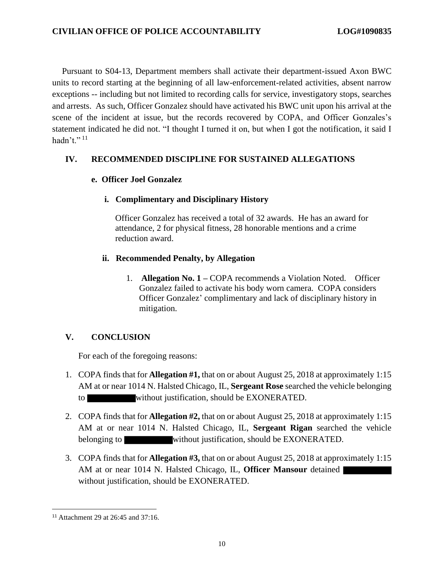Pursuant to S04-13, Department members shall activate their department-issued Axon BWC units to record starting at the beginning of all law-enforcement-related activities, absent narrow exceptions -- including but not limited to recording calls for service, investigatory stops, searches and arrests. As such, Officer Gonzalez should have activated his BWC unit upon his arrival at the scene of the incident at issue, but the records recovered by COPA, and Officer Gonzales's statement indicated he did not. "I thought I turned it on, but when I got the notification, it said I hadn't." $^{11}$ 

## **IV. RECOMMENDED DISCIPLINE FOR SUSTAINED ALLEGATIONS**

## **e. Officer Joel Gonzalez**

## **i. Complimentary and Disciplinary History**

Officer Gonzalez has received a total of 32 awards. He has an award for attendance, 2 for physical fitness, 28 honorable mentions and a crime reduction award.

## **ii. Recommended Penalty, by Allegation**

1. **Allegation No. 1 –** COPA recommends a Violation Noted. Officer Gonzalez failed to activate his body worn camera. COPA considers Officer Gonzalez' complimentary and lack of disciplinary history in mitigation.

## **V. CONCLUSION**

For each of the foregoing reasons:

- 1. COPA finds that for **Allegation #1,** that on or about August 25, 2018 at approximately 1:15 AM at or near 1014 N. Halsted Chicago, IL, **Sergeant Rose** searched the vehicle belonging to without justification, should be EXONERATED.
- 2. COPA finds that for **Allegation #2,** that on or about August 25, 2018 at approximately 1:15 AM at or near 1014 N. Halsted Chicago, IL, **Sergeant Rigan** searched the vehicle belonging to without justification, should be EXONERATED.
- 3. COPA finds that for **Allegation #3,** that on or about August 25, 2018 at approximately 1:15 AM at or near 1014 N. Halsted Chicago, IL, **Officer Mansour** detained without justification, should be EXONERATED.

<sup>&</sup>lt;sup>11</sup> Attachment 29 at 26:45 and 37:16.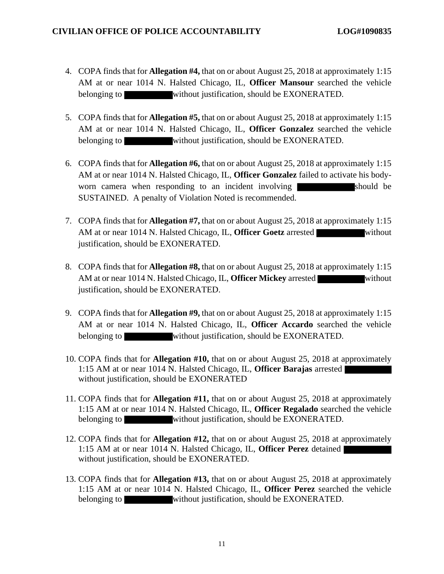- 4. COPA finds that for **Allegation #4,** that on or about August 25, 2018 at approximately 1:15 AM at or near 1014 N. Halsted Chicago, IL, **Officer Mansour** searched the vehicle belonging to without justification, should be EXONERATED.
- 5. COPA finds that for **Allegation #5,** that on or about August 25, 2018 at approximately 1:15 AM at or near 1014 N. Halsted Chicago, IL, **Officer Gonzalez** searched the vehicle belonging to without justification, should be EXONERATED.
- 6. COPA finds that for **Allegation #6,** that on or about August 25, 2018 at approximately 1:15 AM at or near 1014 N. Halsted Chicago, IL, **Officer Gonzalez** failed to activate his bodyworn camera when responding to an incident involving should be SUSTAINED. A penalty of Violation Noted is recommended.
- 7. COPA finds that for **Allegation #7,** that on or about August 25, 2018 at approximately 1:15 AM at or near 1014 N. Halsted Chicago, IL, **Officer Goetz** arrested without justification, should be EXONERATED.
- 8. COPA finds that for **Allegation #8,** that on or about August 25, 2018 at approximately 1:15 AM at or near 1014 N. Halsted Chicago, IL, **Officer Mickey** arrested without justification, should be EXONERATED.
- 9. COPA finds that for **Allegation #9,** that on or about August 25, 2018 at approximately 1:15 AM at or near 1014 N. Halsted Chicago, IL, **Officer Accardo** searched the vehicle belonging to without justification, should be EXONERATED.
- 10. COPA finds that for **Allegation #10,** that on or about August 25, 2018 at approximately 1:15 AM at or near 1014 N. Halsted Chicago, IL, **Officer Barajas** arrested without justification, should be EXONERATED
- 11. COPA finds that for **Allegation #11,** that on or about August 25, 2018 at approximately 1:15 AM at or near 1014 N. Halsted Chicago, IL, **Officer Regalado** searched the vehicle belonging to without justification, should be EXONERATED.
- 12. COPA finds that for **Allegation #12,** that on or about August 25, 2018 at approximately 1:15 AM at or near 1014 N. Halsted Chicago, IL, **Officer Perez** detained without justification, should be EXONERATED.
- 13. COPA finds that for **Allegation #13,** that on or about August 25, 2018 at approximately 1:15 AM at or near 1014 N. Halsted Chicago, IL, **Officer Perez** searched the vehicle belonging to without justification, should be EXONERATED.